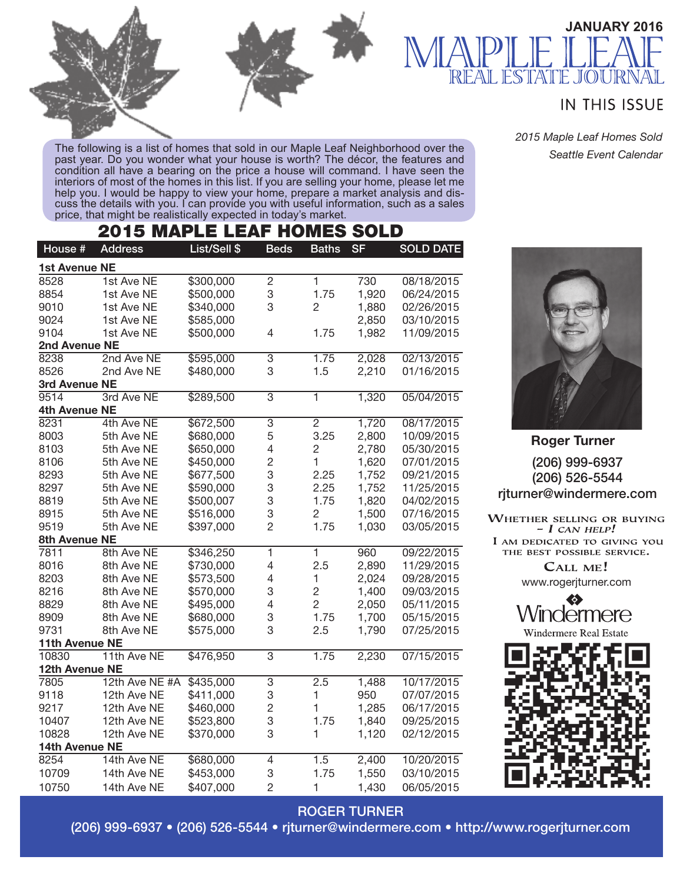

The following is a list of homes that sold in our Maple Leaf Neighborhood over the past year. Do you wonder what your house is worth? The décor, the features and condition all have a bearing on the price a house will command. I have seen the interiors of most of the homes in this list. If you are selling your home, please let me help you. I would be happy to view your home, prepare a market analysis and dis-<br>cuss the details with you. I can provide you with useful information, such as a sales price, that might be realistically expected in today's market.

## 2015 MAPLE LEAF HOMES SOLD

| House #              | <b>Address</b> | List/Sell \$ | <b>Beds</b>             | <b>Baths</b>   | <b>SF</b> | <b>SOLD DATE</b> |  |  |  |  |
|----------------------|----------------|--------------|-------------------------|----------------|-----------|------------------|--|--|--|--|
| <b>1st Avenue NE</b> |                |              |                         |                |           |                  |  |  |  |  |
| 8528                 | 1st Ave NE     | \$300,000    | $\overline{2}$          | $\mathbf{1}$   | 730       | 08/18/2015       |  |  |  |  |
| 8854                 | 1st Ave NE     | \$500,000    | 3                       | 1.75           | 1,920     | 06/24/2015       |  |  |  |  |
| 9010                 | 1st Ave NE     | \$340,000    | 3                       | $\overline{2}$ | 1,880     | 02/26/2015       |  |  |  |  |
| 9024                 | 1st Ave NE     | \$585,000    |                         |                | 2,850     | 03/10/2015       |  |  |  |  |
| 9104                 | 1st Ave NE     | \$500,000    | 4                       | 1.75           | 1,982     | 11/09/2015       |  |  |  |  |
| 2nd Avenue NE        |                |              |                         |                |           |                  |  |  |  |  |
| 8238                 | 2nd Ave NE     | \$595,000    | 3                       | 1.75           | 2,028     | 02/13/2015       |  |  |  |  |
| 8526                 | 2nd Ave NE     | \$480,000    | 3                       | 1.5            | 2,210     | 01/16/2015       |  |  |  |  |
| 3rd Avenue NE        |                |              |                         |                |           |                  |  |  |  |  |
| 9514                 | 3rd Ave NE     | \$289,500    | $\overline{3}$          | $\overline{1}$ | 1,320     | 05/04/2015       |  |  |  |  |
| 4th Avenue NE        |                |              |                         |                |           |                  |  |  |  |  |
| 8231                 | 4th Ave NE     | \$672,500    | 3                       | $\overline{c}$ | 1,720     | 08/17/2015       |  |  |  |  |
| 8003                 | 5th Ave NE     | \$680,000    | 5                       | 3.25           | 2,800     | 10/09/2015       |  |  |  |  |
| 8103                 | 5th Ave NE     | \$650,000    | 4                       | $\overline{c}$ | 2,780     | 05/30/2015       |  |  |  |  |
| 8106                 | 5th Ave NE     | \$450,000    | $\overline{c}$          | $\mathbf{1}$   | 1,620     | 07/01/2015       |  |  |  |  |
| 8293                 | 5th Ave NE     | \$677,500    | 3                       | 2.25           | 1,752     | 09/21/2015       |  |  |  |  |
| 8297                 | 5th Ave NE     | \$590,000    | 3                       | 2.25           | 1,752     | 11/25/2015       |  |  |  |  |
| 8819                 | 5th Ave NE     | \$500,007    | 3                       | 1.75           | 1,820     | 04/02/2015       |  |  |  |  |
| 8915                 | 5th Ave NE     | \$516,000    | 3                       | $\overline{c}$ | 1,500     | 07/16/2015       |  |  |  |  |
| 9519                 | 5th Ave NE     | \$397,000    | $\overline{c}$          | 1.75           | 1,030     | 03/05/2015       |  |  |  |  |
| 8th Avenue NE        |                |              |                         |                |           |                  |  |  |  |  |
| 7811                 | 8th Ave NE     | \$346,250    | $\overline{\mathbf{1}}$ | 1              | 960       | 09/22/2015       |  |  |  |  |
| 8016                 | 8th Ave NE     | \$730,000    | 4                       | 2.5            | 2,890     | 11/29/2015       |  |  |  |  |
| 8203                 | 8th Ave NE     | \$573,500    | 4                       | $\mathbf{1}$   | 2,024     | 09/28/2015       |  |  |  |  |
| 8216                 | 8th Ave NE     | \$570,000    | 3                       | $\overline{c}$ | 1,400     | 09/03/2015       |  |  |  |  |
| 8829                 | 8th Ave NE     | \$495,000    | 4                       | $\overline{2}$ | 2,050     | 05/11/2015       |  |  |  |  |
| 8909                 | 8th Ave NE     | \$680,000    | 3                       | 1.75           | 1,700     | 05/15/2015       |  |  |  |  |
| 9731                 | 8th Ave NE     | \$575,000    | 3                       | 2.5            | 1,790     | 07/25/2015       |  |  |  |  |
| 11th Avenue NE       |                |              |                         |                |           |                  |  |  |  |  |
| 10830                | 11th Ave NE    | \$476,950    | 3                       | 1.75           | 2,230     | 07/15/2015       |  |  |  |  |
| 12th Avenue NE       |                |              |                         |                |           |                  |  |  |  |  |
| 7805                 | 12th Ave NE #A | \$435,000    | 3                       | 2.5            | 1,488     | 10/17/2015       |  |  |  |  |
| 9118                 | 12th Ave NE    | \$411,000    | 3                       | 1              | 950       | 07/07/2015       |  |  |  |  |
| 9217                 | 12th Ave NE    | \$460,000    | $\overline{c}$          | 1              | 1,285     | 06/17/2015       |  |  |  |  |
| 10407                | 12th Ave NE    | \$523,800    | 3                       | 1.75           | 1,840     | 09/25/2015       |  |  |  |  |
| 10828                | 12th Ave NE    | \$370,000    | 3                       | 1              | 1,120     | 02/12/2015       |  |  |  |  |
|                      | 14th Avenue NE |              |                         |                |           |                  |  |  |  |  |
| 8254                 | 14th Ave NE    | \$680,000    | 4                       | 1.5            | 2,400     | 10/20/2015       |  |  |  |  |
| 10709                | 14th Ave NE    | \$453,000    | 3                       | 1.75           | 1,550     | 03/10/2015       |  |  |  |  |
| 10750                | 14th Ave NE    | \$407,000    | $\overline{2}$          | $\mathbf{1}$   | 1,430     | 06/05/2015       |  |  |  |  |

**IN THIS ISSUE** 

LOU IRI

**JANUARY 2016**

*2015 Maple Leaf Homes Sold Seattle Event Calendar*



(206) 999-6937 (206) 526-5544 rjturner@windermere.com **Roger Turner**

WHETHER SELLING OR BUYING  $- I$  CAN HELP! I AM DEDICATED TO GIVING YOU THE BEST POSSIBLE SERVICE. CALL ME!

www.rogerjturner.com

❤ lermere



ROGER TURNER

(206) 999-6937 • (206) 526-5544 • rjturner@windermere.com • http://www.rogerjturner.com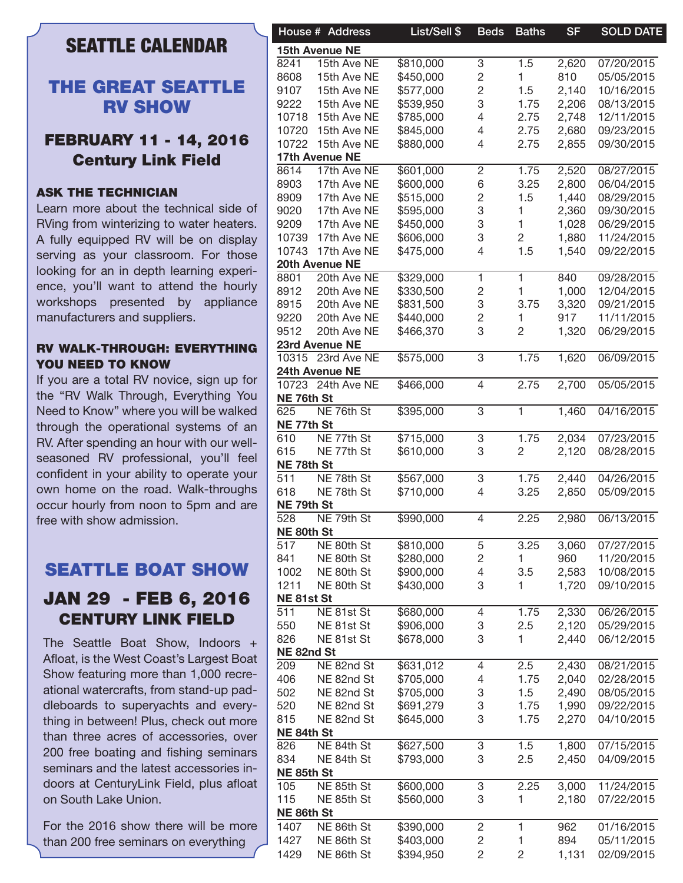## SEATTLE CALENDAR

## THE GREAT SEATTLE RV SHOW

## FEBRUARY 11 - 14, 2016 Century Link Field

### ASK THE TECHNICIAN

Learn more about the technical side of RVing from winterizing to water heaters. A fully equipped RV will be on display serving as your classroom. For those looking for an in depth learning experience, you'll want to attend the hourly workshops presented by appliance manufacturers and suppliers.

### RV WALK-THROUGH: EVERYTHING YOU NEED TO KNOW

If you are a total RV novice, sign up for the "RV Walk Through, Everything You Need to Know" where you will be walked through the operational systems of an RV. After spending an hour with our wellseasoned RV professional, you'll feel confident in your ability to operate your own home on the road. Walk-throughs occur hourly from noon to 5pm and are free with show admission.

## SEATTLE BOAT SHOW

## JAN 29 - FEB 6, 2016 CENTURY LINK FIELD

The Seattle Boat Show, Indoors + Afloat, is the West Coast's Largest Boat Show featuring more than 1,000 recreational watercrafts, from stand-up paddleboards to superyachts and everything in between! Plus, check out more than three acres of accessories, over 200 free boating and fishing seminars seminars and the latest accessories indoors at CenturyLink Field, plus afloat on South Lake Union.

For the 2016 show there will be more than 200 free seminars on everything

|            | House # Address   | List/Sell \$ | <b>Beds</b>    | <b>Baths</b>   | <b>SF</b> | <b>SOLD DATE</b> |
|------------|-------------------|--------------|----------------|----------------|-----------|------------------|
|            | 15th Avenue NE    |              |                |                |           |                  |
| 8241       | 15th Ave NE       | \$810,000    | 3              | 1.5            | 2,620     | 07/20/2015       |
| 8608       | 15th Ave NE       | \$450,000    | 2              |                | 810       | 05/05/2015       |
| 9107       | 15th Ave NE       | \$577,000    | 2              | 1.5            | 2,140     | 10/16/2015       |
| 9222       | 15th Ave NE       | \$539,950    | 3              | 1.75           | 2,206     | 08/13/2015       |
| 10718      | 15th Ave NE       | \$785,000    | 4              | 2.75           | 2,748     | 12/11/2015       |
| 10720      | 15th Ave NE       | \$845,000    | 4              | 2.75           | 2,680     | 09/23/2015       |
|            | 10722 15th Ave NE | \$880,000    | 4              | 2.75           | 2,855     | 09/30/2015       |
|            | 17th Avenue NE    |              |                |                |           |                  |
|            | 17th Ave NE       |              |                |                |           | 08/27/2015       |
| 8614       |                   | \$601,000    | 2              | 1.75           | 2,520     |                  |
| 8903       | 17th Ave NE       | \$600,000    | 6              | 3.25           | 2,800     | 06/04/2015       |
| 8909       | 17th Ave NE       | \$515,000    | 2              | 1.5            | 1,440     | 08/29/2015       |
| 9020       | 17th Ave NE       | \$595,000    | 3              |                | 2,360     | 09/30/2015       |
| 9209       | 17th Ave NE       | \$450,000    | 3              |                | 1,028     | 06/29/2015       |
| 10739      | 17th Ave NE       | \$606,000    | 3              | 2              | 1,880     | 11/24/2015       |
| 10743      | 17th Ave NE       | \$475,000    | 4              | 1.5            | 1,540     | 09/22/2015       |
|            | 20th Avenue NE    |              |                |                |           |                  |
| 8801       | 20th Ave NE       | \$329,000    | 1.             | 1.             | 840       | 09/28/2015       |
| 8912       | 20th Ave NE       | \$330,500    | 2              |                | 1,000     | 12/04/2015       |
| 8915       | 20th Ave NE       | \$831,500    | 3              | 3.75           | 3,320     | 09/21/2015       |
| 9220       | 20th Ave NE       | \$440,000    | 2              |                | 917       | 11/11/2015       |
| 9512       | 20th Ave NE       | \$466,370    | 3              | $\overline{c}$ | 1,320     | 06/29/2015       |
|            | 23rd Avenue NE    |              |                |                |           |                  |
|            | 10315 23rd Ave NE | \$575,000    | 3              | 1.75           | 1,620     | 06/09/2015       |
|            | 24th Avenue NE    |              |                |                |           |                  |
|            | 10723 24th Ave NE | \$466,000    | 4              | 2.75           | 2,700     | 05/05/2015       |
| NE 76th St |                   |              |                |                |           |                  |
|            |                   |              |                |                |           |                  |
| 625        | NE 76th St        | \$395,000    | 3              | 1.             | 1,460     | 04/16/2015       |
| NE 77th St |                   |              |                |                |           |                  |
| 610        | NE 77th St        | \$715,000    | 3              | 1.75           | 2,034     | 07/23/2015       |
| 615        | NE 77th St        | \$610,000    | 3              | 2              | 2,120     | 08/28/2015       |
| NE 78th St |                   |              |                |                |           |                  |
| 511        | NE 78th St        | \$567,000    | 3              | 1.75           | 2,440     | 04/26/2015       |
| 618        | NE 78th St        | \$710,000    | 4              | 3.25           | 2,850     | 05/09/2015       |
| NE 79th St |                   |              |                |                |           |                  |
| 528        | NE 79th St        | \$990,000    | 4              | 2.25           | 2,980     | 06/13/2015       |
| NE 80th St |                   |              |                |                |           |                  |
| 517        | NE 80th St        | \$810,000    | 5              | 3.25           | 3,060     | 07/27/2015       |
|            |                   |              |                |                |           | 11/20/2015       |
| 841        | NE 80th St        | \$280,000    | 2              |                | 960       |                  |
| 1002       | NE 80th St        | \$900,000    | 4              | 3.5            | 2,583     | 10/08/2015       |
| 1211       | NE 80th St        | \$430,000    | 3              | 1.             | 1,720     | 09/10/2015       |
| NE81st St  |                   |              |                |                |           |                  |
| 511        | NE 81st St        | \$680,000    | 4              | 1.75           | 2,330     | 06/26/2015       |
| 550        | NE 81st St        | \$906,000    | 3              | 2.5            | 2,120     | 05/29/2015       |
| 826        | NE 81st St        | \$678,000    | 3              | 1.             | 2,440     | 06/12/2015       |
| NE 82nd St |                   |              |                |                |           |                  |
| 209        | NE 82nd St        | \$631,012    | 4              | 2.5            | 2,430     | 08/21/2015       |
| 406        | NE 82nd St        | \$705,000    | 4              | 1.75           | 2,040     | 02/28/2015       |
| 502        | NE 82nd St        | \$705,000    | 3              | 1.5            | 2,490     | 08/05/2015       |
| 520        | NE 82nd St        | \$691,279    | 3              | 1.75           | 1,990     | 09/22/2015       |
|            |                   |              |                |                |           |                  |
| 815        | NE 82nd St        | \$645,000    | 3              | 1.75           | 2,270     | 04/10/2015       |
| NE 84th St |                   |              |                |                |           |                  |
| 826        | NE 84th St        | \$627,500    | 3              | 1.5            | 1,800     | 07/15/2015       |
| 834        | NE 84th St        | \$793,000    | 3              | 2.5            | 2,450     | 04/09/2015       |
| NE 85th St |                   |              |                |                |           |                  |
| 105        | NE 85th St        | \$600,000    | 3              | 2.25           | 3,000     | 11/24/2015       |
| 115        | NE 85th St        | \$560,000    | 3              | 1.             | 2,180     | 07/22/2015       |
| NE 86th St |                   |              |                |                |           |                  |
| 1407       | NE 86th St        | \$390,000    | 2              | 1              | 962       | 01/16/2015       |
| 1427       | NE 86th St        | \$403,000    | 2              |                | 894       | 05/11/2015       |
|            |                   |              |                |                |           |                  |
| 1429       | NE 86th St        | \$394,950    | $\overline{c}$ | 2              | 1,131     | 02/09/2015       |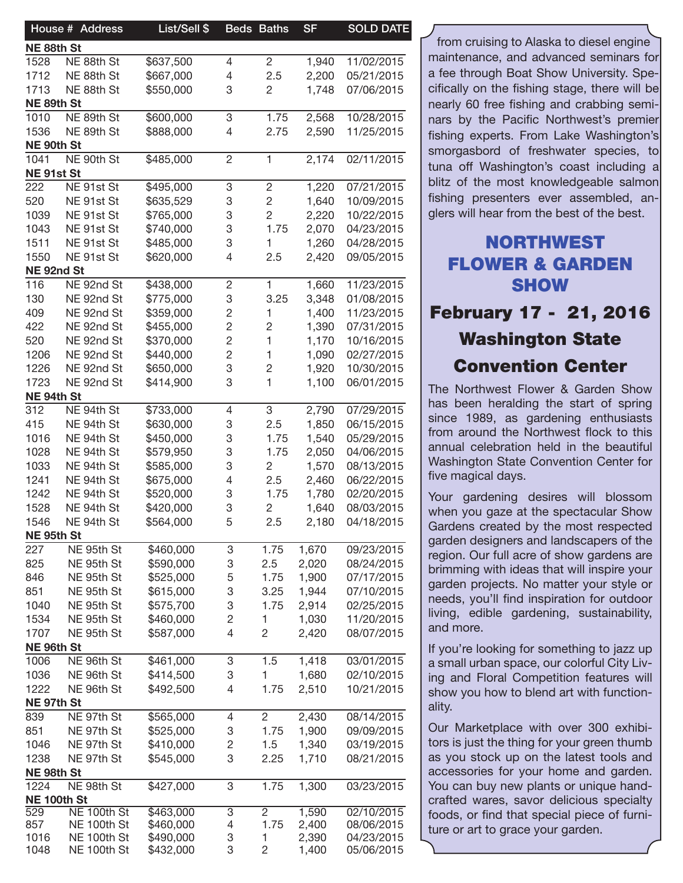| House # Address                        | List/Sell \$           |                         | <b>Beds Baths</b> | <b>SF</b>      | <b>SOLD DATE</b>         |
|----------------------------------------|------------------------|-------------------------|-------------------|----------------|--------------------------|
| NE 88th St                             |                        |                         |                   |                |                          |
| 1528<br>NE 88th St                     | \$637,500              | 4                       | 2                 | 1,940          | 11/02/2015               |
| 1712<br>NE 88th St                     | \$667,000              | 4                       | 2.5               | 2,200          | 05/21/2015               |
| 1713<br>NE 88th St                     | \$550,000              | 3                       | $\overline{c}$    | 1,748          | 07/06/2015               |
| NE 89th St                             |                        |                         |                   |                |                          |
| 1010<br>NE 89th St                     | \$600,000              | 3                       | 1.75              | 2,568          | 10/28/2015               |
| 1536<br>NE 89th St                     | \$888,000              | 4                       | 2.75              | 2,590          | 11/25/2015               |
| NE 90th St                             |                        |                         |                   |                |                          |
| NE 90th St<br>1041                     | \$485,000              | $\overline{c}$          | $\mathbf{1}$      | 2,174          | 02/11/2015               |
| NE 91st St                             |                        |                         |                   |                |                          |
| 222<br>NE 91st St                      | \$495,000              | 3                       | $\mathbf{2}$      | 1,220          | 07/21/2015               |
| 520<br>NE 91st St                      | \$635,529              | 3                       | $\sqrt{2}$        | 1,640          | 10/09/2015               |
| 1039<br>NE 91st St                     | \$765,000              | 3                       | $\overline{c}$    | 2,220          | 10/22/2015               |
| 1043<br>NE 91st St                     | \$740,000              | 3                       | 1.75              | 2,070          | 04/23/2015               |
| 1511<br>NE 91st St                     | \$485,000              | 3                       |                   | 1,260          | 04/28/2015               |
| 1550<br>NE 91st St                     | \$620,000              | 4                       | 2.5               | 2,420          | 09/05/2015               |
| NE 92nd St                             |                        |                         |                   |                |                          |
| 116<br>NE 92nd St                      | \$438,000              | 2                       | 1                 | 1,660          | 11/23/2015               |
| 130<br>NE 92nd St                      | \$775,000              | 3                       | 3.25              | 3,348          | 01/08/2015               |
| 409<br>NE 92nd St                      | \$359,000              | $\overline{\mathbf{c}}$ | 1                 | 1,400          | 11/23/2015               |
| 422<br>NE 92nd St                      | \$455,000              | $\overline{\mathbf{c}}$ | $\overline{c}$    | 1,390          | 07/31/2015               |
| 520<br>NE 92nd St                      | \$370,000              | 2                       | $\mathbf{1}$      | 1,170          | 10/16/2015               |
| 1206<br>NE 92nd St                     | \$440,000              | 2                       | $\mathbf 1$       | 1,090          | 02/27/2015               |
| 1226<br>NE 92nd St                     | \$650,000              | 3                       | $\overline{c}$    | 1,920          | 10/30/2015               |
| 1723<br>NE 92nd St                     | \$414,900              | 3                       | $\overline{1}$    | 1,100          | 06/01/2015               |
| NE 94th St<br>NE 94th St               |                        |                         |                   |                | 07/29/2015               |
| 312                                    | \$733,000              | 4                       | 3                 | 2,790          | 06/15/2015               |
| 415<br>NE 94th St                      | \$630,000              | 3                       | 2.5               | 1,850          |                          |
| 1016<br>NE 94th St                     | \$450,000              | 3                       | 1.75              | 1,540          | 05/29/2015               |
| 1028<br>NE 94th St                     | \$579,950              | 3                       | 1.75              | 2,050          | 04/06/2015               |
| 1033<br>NE 94th St                     | \$585,000              | 3                       | $\overline{c}$    | 1,570          | 08/13/2015               |
| 1241<br>NE 94th St                     | \$675,000              | 4                       | 2.5               | 2,460          | 06/22/2015               |
| 1242<br>NE 94th St                     | \$520,000              | 3                       | 1.75              | 1,780          | 02/20/2015               |
| 1528<br>NE 94th St                     | \$420,000              | 3                       | $\overline{c}$    | 1,640          | 08/03/2015               |
| 1546<br>NE 94th St                     | \$564,000              | 5                       | 2.5               | 2,180          | 04/18/2015               |
| NE 95th St<br>NE 95th St<br>227        | \$460,000              |                         | 1.75              | 1,670          | 09/23/2015               |
|                                        |                        | 3                       | 2.5               |                |                          |
| 825<br>NE 95th St<br>846<br>NE 95th St | \$590,000<br>\$525,000 | 3<br>5                  | 1.75              | 2,020<br>1,900 | 08/24/2015<br>07/17/2015 |
| 851<br>NE 95th St                      | \$615,000              | 3                       | 3.25              | 1,944          | 07/10/2015               |
| 1040<br>NE 95th St                     | \$575,700              | 3                       | 1.75              | 2,914          | 02/25/2015               |
| 1534<br>NE 95th St                     | \$460,000              | 2                       | $\mathbf{1}$      | 1,030          | 11/20/2015               |
| 1707<br>NE 95th St                     | \$587,000              | 4                       | $\overline{c}$    | 2,420          | 08/07/2015               |
| NE 96th St                             |                        |                         |                   |                |                          |
| NE 96th St<br>1006                     | \$461,000              | 3                       | 1.5               | 1,418          | 03/01/2015               |
| 1036<br>NE 96th St                     | \$414,500              | 3                       | $\mathbf{1}$      | 1,680          | 02/10/2015               |
| 1222<br>NE 96th St                     | \$492,500              | 4                       | 1.75              | 2,510          | 10/21/2015               |
| NE 97th St                             |                        |                         |                   |                |                          |
| NE 97th St<br>839                      | \$565,000              | 4                       | $\overline{2}$    | 2,430          | 08/14/2015               |
| 851<br>NE 97th St                      | \$525,000              | 3                       | 1.75              | 1,900          | 09/09/2015               |
| 1046<br>NE 97th St                     | \$410,000              | 2                       | 1.5               | 1,340          | 03/19/2015               |
| 1238<br>NE 97th St                     | \$545,000              | 3                       | 2.25              | 1,710          | 08/21/2015               |
| NE 98th St                             |                        |                         |                   |                |                          |
| 1224<br>NE 98th St                     | \$427,000              | 3                       | 1.75              | 1,300          | 03/23/2015               |
| NE 100th St                            |                        |                         |                   |                |                          |
| NE 100th St<br>529                     | \$463,000              | 3                       | $\overline{2}$    | 1,590          | 02/10/2015               |
| NE 100th St<br>857                     | \$460,000              | 4                       | 1.75              | 2,400          | 08/06/2015               |
| 1016<br>NE 100th St                    | \$490,000              | 3                       |                   | 2,390          | 04/23/2015               |
| 1048<br>NE 100th St                    | \$432,000              | 3                       | 2                 | 1,400          | 05/06/2015               |

from cruising to Alaska to diesel engine maintenance, and advanced seminars for a fee through Boat Show University. Specifically on the fishing stage, there will be nearly 60 free fishing and crabbing seminars by the Pacific Northwest's premier fishing experts. From Lake Washington's smorgasbord of freshwater species, to tuna off Washington's coast including a blitz of the most knowledgeable salmon fishing presenters ever assembled, anglers will hear from the best of the best.

# NORTHWEST FLOWER & GARDEN **SHOW**

February 17 - 21, 2016 Washington State Convention Center

The Northwest Flower & Garden Show has been heralding the start of spring since 1989, as gardening enthusiasts from around the Northwest flock to this annual celebration held in the beautiful Washington State Convention Center for five magical days.

Your gardening desires will blossom when you gaze at the spectacular Show Gardens created by the most respected garden designers and landscapers of the region. Our full acre of show gardens are brimming with ideas that will inspire your garden projects. No matter your style or needs, you'll find inspiration for outdoor living, edible gardening, sustainability, and more.

If you're looking for something to jazz up a small urban space, our colorful City Living and Floral Competition features will show you how to blend art with functionality.

Our Marketplace with over 300 exhibitors is just the thing for your green thumb as you stock up on the latest tools and accessories for your home and garden. You can buy new plants or unique handcrafted wares, savor delicious specialty foods, or find that special piece of furniture or art to grace your garden.